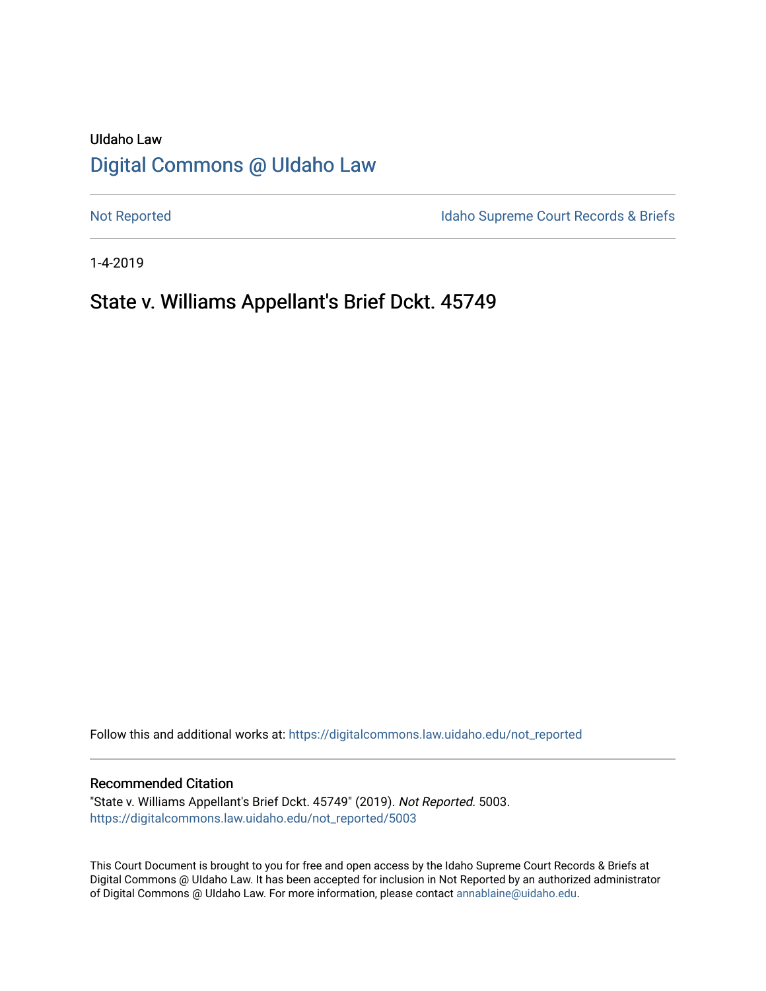# UIdaho Law [Digital Commons @ UIdaho Law](https://digitalcommons.law.uidaho.edu/)

[Not Reported](https://digitalcommons.law.uidaho.edu/not_reported) **Idaho Supreme Court Records & Briefs** 

1-4-2019

# State v. Williams Appellant's Brief Dckt. 45749

Follow this and additional works at: [https://digitalcommons.law.uidaho.edu/not\\_reported](https://digitalcommons.law.uidaho.edu/not_reported?utm_source=digitalcommons.law.uidaho.edu%2Fnot_reported%2F5003&utm_medium=PDF&utm_campaign=PDFCoverPages) 

#### Recommended Citation

"State v. Williams Appellant's Brief Dckt. 45749" (2019). Not Reported. 5003. [https://digitalcommons.law.uidaho.edu/not\\_reported/5003](https://digitalcommons.law.uidaho.edu/not_reported/5003?utm_source=digitalcommons.law.uidaho.edu%2Fnot_reported%2F5003&utm_medium=PDF&utm_campaign=PDFCoverPages)

This Court Document is brought to you for free and open access by the Idaho Supreme Court Records & Briefs at Digital Commons @ UIdaho Law. It has been accepted for inclusion in Not Reported by an authorized administrator of Digital Commons @ UIdaho Law. For more information, please contact [annablaine@uidaho.edu](mailto:annablaine@uidaho.edu).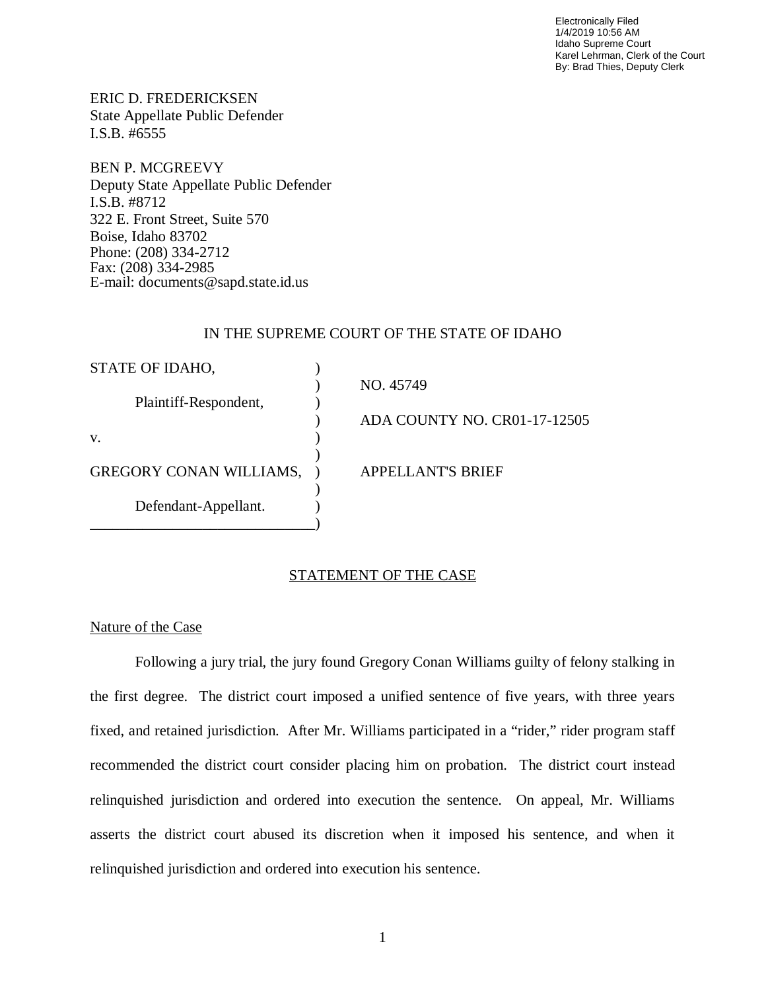Electronically Filed 1/4/2019 10:56 AM Idaho Supreme Court Karel Lehrman, Clerk of the Court By: Brad Thies, Deputy Clerk

ERIC D. FREDERICKSEN State Appellate Public Defender I.S.B. #6555

BEN P. MCGREEVY Deputy State Appellate Public Defender I.S.B. #8712 322 E. Front Street, Suite 570 Boise, Idaho 83702 Phone: (208) 334-2712 Fax: (208) 334-2985 E-mail: documents@sapd.state.id.us

### IN THE SUPREME COURT OF THE STATE OF IDAHO

| STATE OF IDAHO,                |                              |
|--------------------------------|------------------------------|
|                                | NO. 45749                    |
| Plaintiff-Respondent,          |                              |
|                                | ADA COUNTY NO. CR01-17-12505 |
| V.                             |                              |
|                                |                              |
| <b>GREGORY CONAN WILLIAMS,</b> | <b>APPELLANT'S BRIEF</b>     |
|                                |                              |
| Defendant-Appellant.           |                              |
|                                |                              |

# STATEMENT OF THE CASE

### Nature of the Case

Following a jury trial, the jury found Gregory Conan Williams guilty of felony stalking in the first degree. The district court imposed a unified sentence of five years, with three years fixed, and retained jurisdiction. After Mr. Williams participated in a "rider," rider program staff recommended the district court consider placing him on probation. The district court instead relinquished jurisdiction and ordered into execution the sentence. On appeal, Mr. Williams asserts the district court abused its discretion when it imposed his sentence, and when it relinquished jurisdiction and ordered into execution his sentence.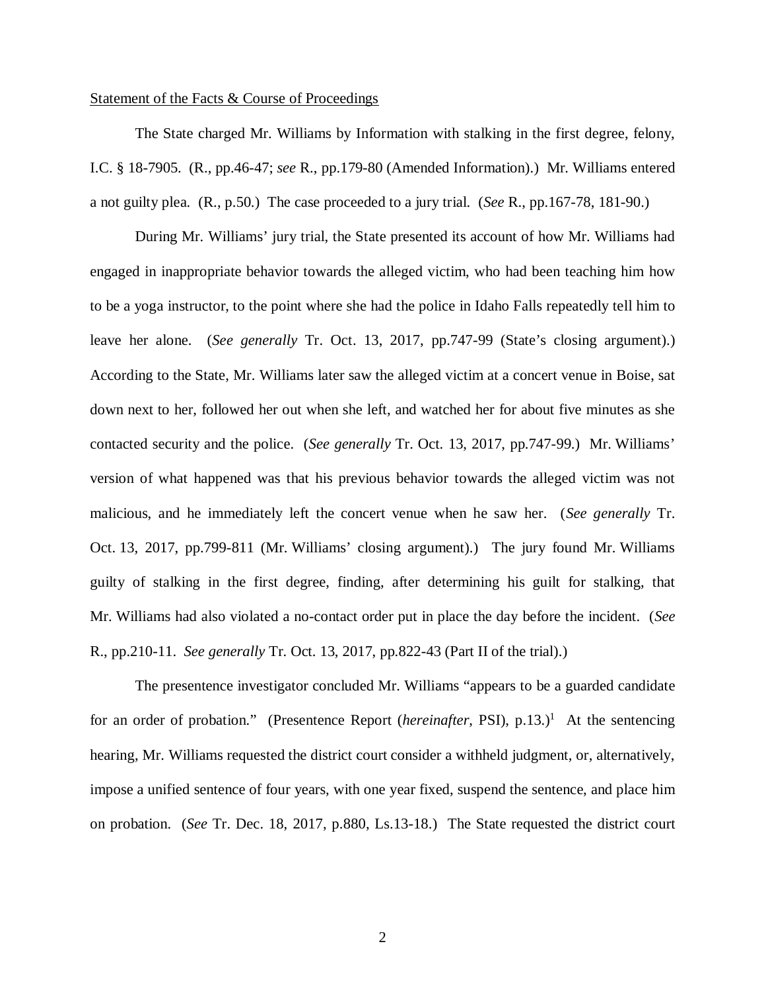#### Statement of the Facts & Course of Proceedings

The State charged Mr. Williams by Information with stalking in the first degree, felony, I.C. § 18-7905. (R., pp.46-47; *see* R., pp.179-80 (Amended Information).) Mr. Williams entered a not guilty plea. (R., p.50.) The case proceeded to a jury trial. (*See* R., pp.167-78, 181-90.)

During Mr. Williams' jury trial, the State presented its account of how Mr. Williams had engaged in inappropriate behavior towards the alleged victim, who had been teaching him how to be a yoga instructor, to the point where she had the police in Idaho Falls repeatedly tell him to leave her alone. (*See generally* Tr. Oct. 13, 2017, pp.747-99 (State's closing argument).) According to the State, Mr. Williams later saw the alleged victim at a concert venue in Boise, sat down next to her, followed her out when she left, and watched her for about five minutes as she contacted security and the police. (*See generally* Tr. Oct. 13, 2017, pp.747-99.) Mr. Williams' version of what happened was that his previous behavior towards the alleged victim was not malicious, and he immediately left the concert venue when he saw her. (*See generally* Tr. Oct. 13, 2017, pp.799-811 (Mr. Williams' closing argument).) The jury found Mr. Williams guilty of stalking in the first degree, finding, after determining his guilt for stalking, that Mr. Williams had also violated a no-contact order put in place the day before the incident. (*See* R., pp.210-11. *See generally* Tr. Oct. 13, 2017, pp.822-43 (Part II of the trial).)

<span id="page-2-0"></span>The presentence investigator concluded Mr. Williams "appears to be a guarded candidate for an order of probation." (Presentence Report (*hereinafter*, PSI), p.[1](#page-2-0)3.)<sup>1</sup> At the sentencing hearing, Mr. Williams requested the district court consider a withheld judgment, or, alternatively, impose a unified sentence of four years, with one year fixed, suspend the sentence, and place him on probation. (*See* Tr. Dec. 18, 2017, p.880, Ls.13-18.) The State requested the district court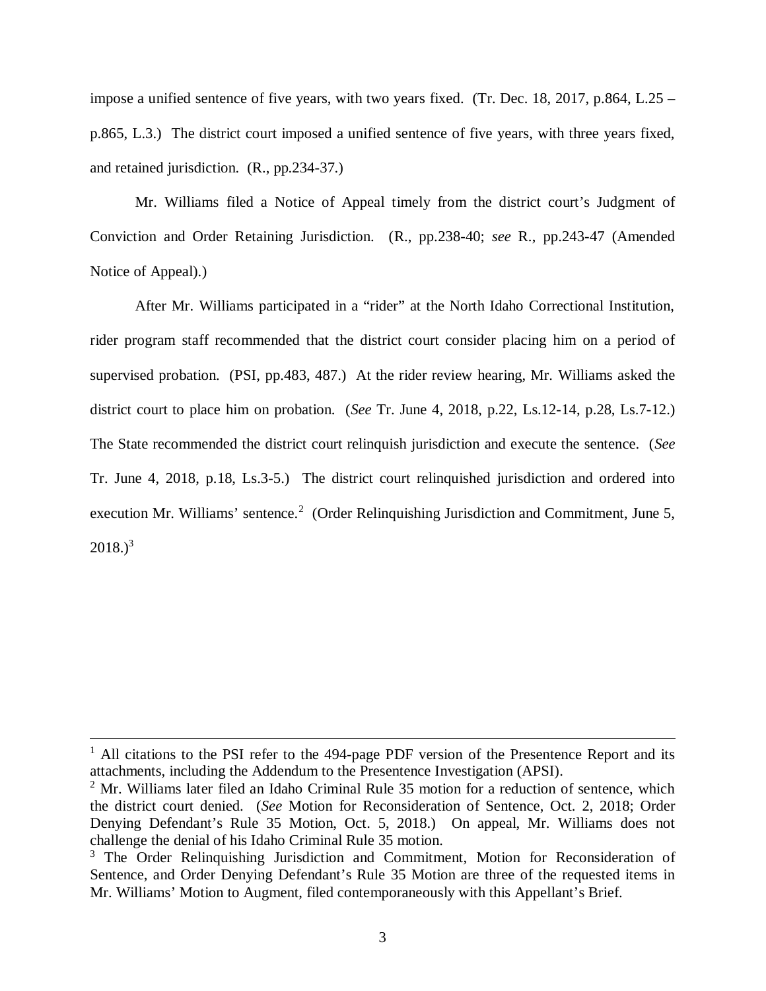impose a unified sentence of five years, with two years fixed. (Tr. Dec. 18, 2017, p.864, L.25 – p.865, L.3.) The district court imposed a unified sentence of five years, with three years fixed, and retained jurisdiction. (R., pp.234-37.)

Mr. Williams filed a Notice of Appeal timely from the district court's Judgment of Conviction and Order Retaining Jurisdiction. (R., pp.238-40; *see* R., pp.243-47 (Amended Notice of Appeal).)

After Mr. Williams participated in a "rider" at the North Idaho Correctional Institution, rider program staff recommended that the district court consider placing him on a period of supervised probation. (PSI, pp.483, 487.) At the rider review hearing, Mr. Williams asked the district court to place him on probation. (*See* Tr. June 4, 2018, p.22, Ls.12-14, p.28, Ls.7-12.) The State recommended the district court relinquish jurisdiction and execute the sentence. (*See* Tr. June 4, 2018, p.18, Ls.3-5.) The district court relinquished jurisdiction and ordered into execution Mr. Williams' sentence.<sup>[2](#page-3-0)</sup> (Order Relinquishing Jurisdiction and Commitment, June 5,  $2018.$ <sup>[3](#page-3-1)</sup>

<sup>&</sup>lt;sup>1</sup> All citations to the PSI refer to the 494-page PDF version of the Presentence Report and its attachments, including the Addendum to the Presentence Investigation (APSI).

<span id="page-3-0"></span> $2^2$  Mr. Williams later filed an Idaho Criminal Rule 35 motion for a reduction of sentence, which the district court denied. (*See* Motion for Reconsideration of Sentence, Oct. 2, 2018; Order Denying Defendant's Rule 35 Motion, Oct. 5, 2018.) On appeal, Mr. Williams does not challenge the denial of his Idaho Criminal Rule 35 motion.

<span id="page-3-1"></span><sup>&</sup>lt;sup>3</sup> The Order Relinquishing Jurisdiction and Commitment, Motion for Reconsideration of Sentence, and Order Denying Defendant's Rule 35 Motion are three of the requested items in Mr. Williams' Motion to Augment, filed contemporaneously with this Appellant's Brief.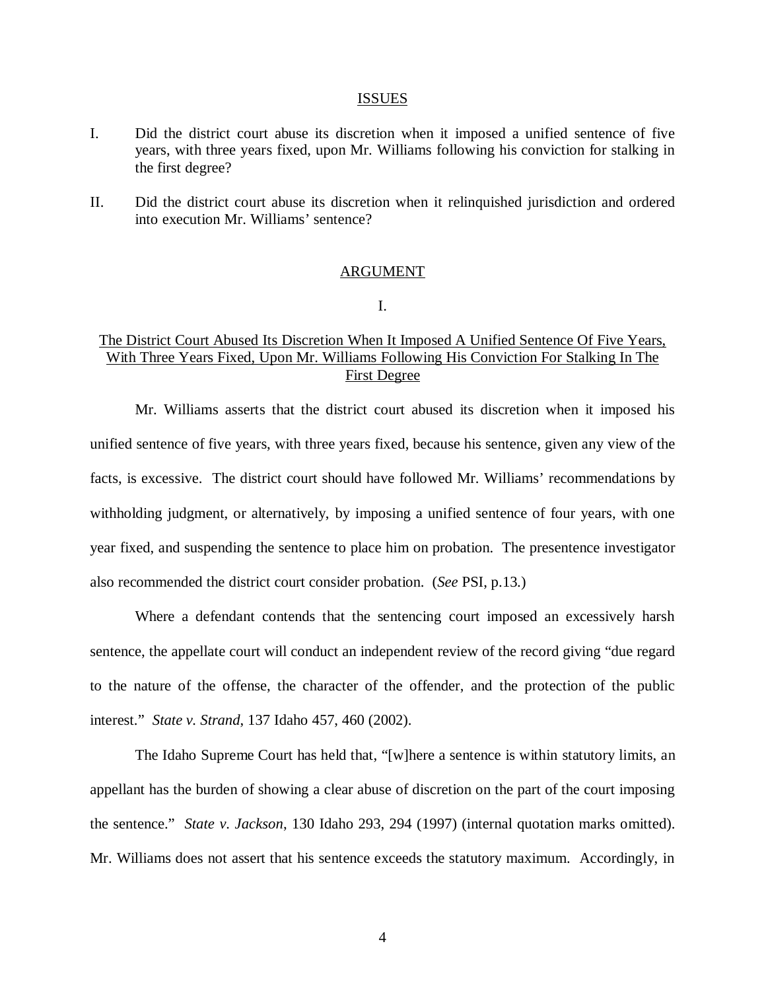#### ISSUES

- I. Did the district court abuse its discretion when it imposed a unified sentence of five years, with three years fixed, upon Mr. Williams following his conviction for stalking in the first degree?
- II. Did the district court abuse its discretion when it relinquished jurisdiction and ordered into execution Mr. Williams' sentence?

#### ARGUMENT

I.

# The District Court Abused Its Discretion When It Imposed A Unified Sentence Of Five Years, With Three Years Fixed, Upon Mr. Williams Following His Conviction For Stalking In The First Degree

Mr. Williams asserts that the district court abused its discretion when it imposed his unified sentence of five years, with three years fixed, because his sentence, given any view of the facts, is excessive. The district court should have followed Mr. Williams' recommendations by withholding judgment, or alternatively, by imposing a unified sentence of four years, with one year fixed, and suspending the sentence to place him on probation. The presentence investigator also recommended the district court consider probation. (*See* PSI, p.13.)

Where a defendant contends that the sentencing court imposed an excessively harsh sentence, the appellate court will conduct an independent review of the record giving "due regard to the nature of the offense, the character of the offender, and the protection of the public interest." *State v. Strand*, 137 Idaho 457, 460 (2002).

The Idaho Supreme Court has held that, "[w]here a sentence is within statutory limits, an appellant has the burden of showing a clear abuse of discretion on the part of the court imposing the sentence." *State v. Jackson*, 130 Idaho 293, 294 (1997) (internal quotation marks omitted). Mr. Williams does not assert that his sentence exceeds the statutory maximum. Accordingly, in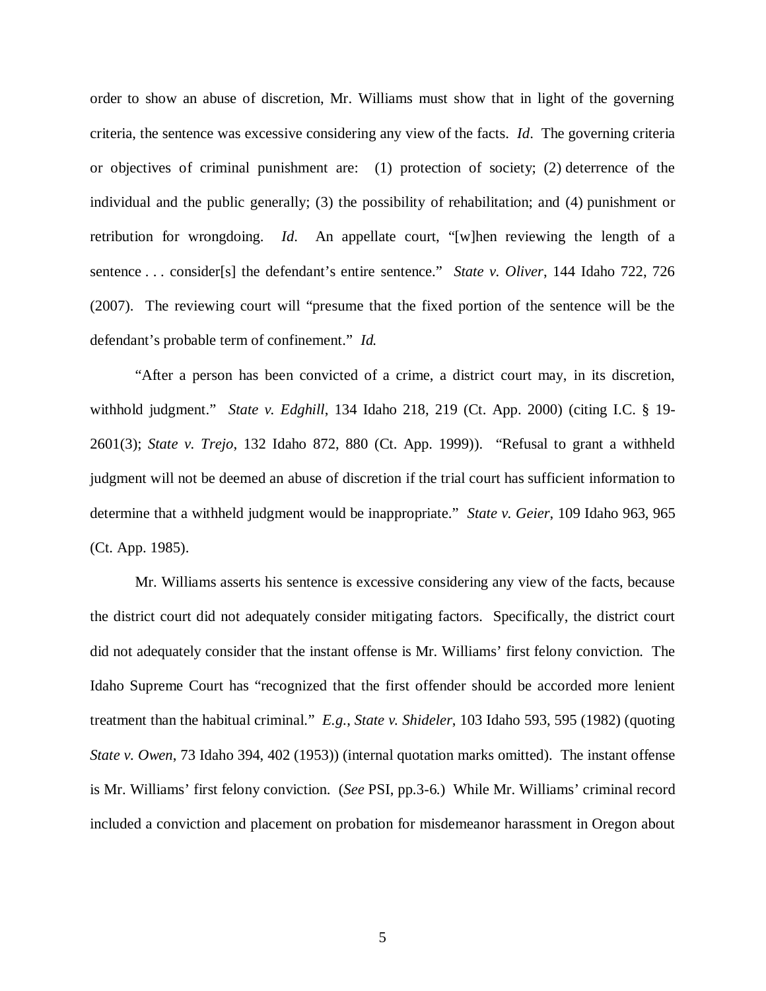order to show an abuse of discretion, Mr. Williams must show that in light of the governing criteria, the sentence was excessive considering any view of the facts. *Id*. The governing criteria or objectives of criminal punishment are: (1) protection of society; (2) deterrence of the individual and the public generally; (3) the possibility of rehabilitation; and (4) punishment or retribution for wrongdoing. *Id*. An appellate court, "[w]hen reviewing the length of a sentence . . . consider[s] the defendant's entire sentence." *State v. Oliver*, 144 Idaho 722, 726 (2007). The reviewing court will "presume that the fixed portion of the sentence will be the defendant's probable term of confinement." *Id.*

"After a person has been convicted of a crime, a district court may, in its discretion, withhold judgment." *State v. Edghill*, 134 Idaho 218, 219 (Ct. App. 2000) (citing I.C. § 19- 2601(3); *State v. Trejo*, 132 Idaho 872, 880 (Ct. App. 1999)). "Refusal to grant a withheld judgment will not be deemed an abuse of discretion if the trial court has sufficient information to determine that a withheld judgment would be inappropriate." *State v. Geier*, 109 Idaho 963, 965 (Ct. App. 1985).

Mr. Williams asserts his sentence is excessive considering any view of the facts, because the district court did not adequately consider mitigating factors. Specifically, the district court did not adequately consider that the instant offense is Mr. Williams' first felony conviction. The Idaho Supreme Court has "recognized that the first offender should be accorded more lenient treatment than the habitual criminal." *E.g.*, *State v. Shideler*, 103 Idaho 593, 595 (1982) (quoting *State v. Owen*, 73 Idaho 394, 402 (1953)) (internal quotation marks omitted). The instant offense is Mr. Williams' first felony conviction. (*See* PSI, pp.3-6.) While Mr. Williams' criminal record included a conviction and placement on probation for misdemeanor harassment in Oregon about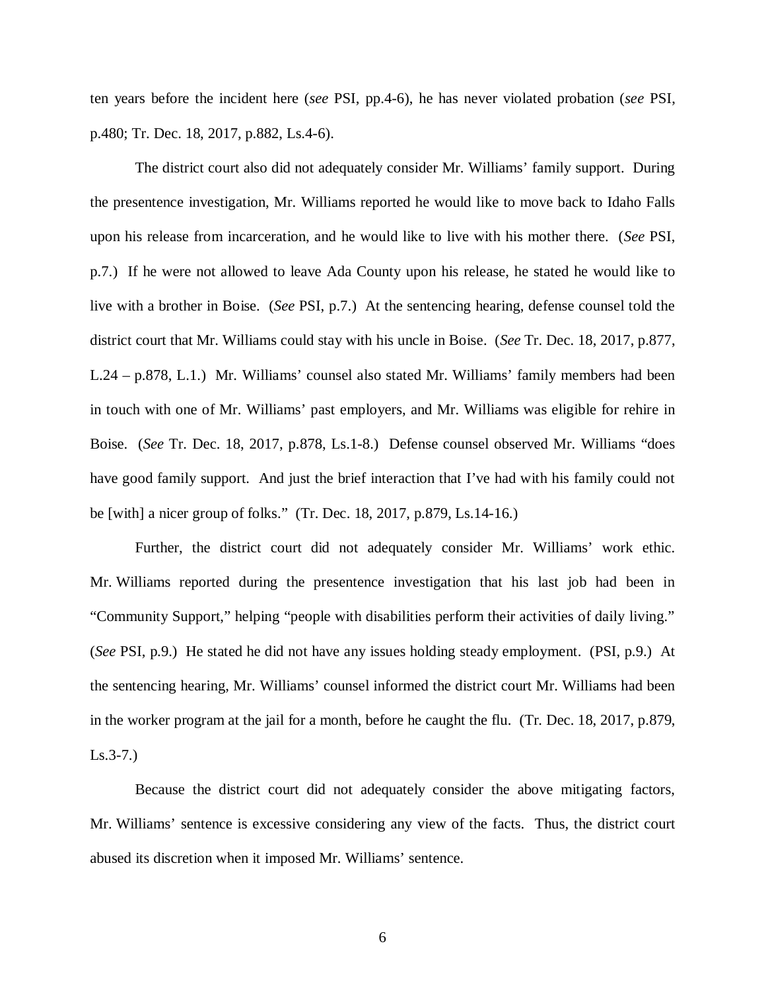ten years before the incident here (*see* PSI, pp.4-6), he has never violated probation (*see* PSI, p.480; Tr. Dec. 18, 2017, p.882, Ls.4-6).

The district court also did not adequately consider Mr. Williams' family support. During the presentence investigation, Mr. Williams reported he would like to move back to Idaho Falls upon his release from incarceration, and he would like to live with his mother there. (*See* PSI, p.7.) If he were not allowed to leave Ada County upon his release, he stated he would like to live with a brother in Boise. (*See* PSI, p.7.) At the sentencing hearing, defense counsel told the district court that Mr. Williams could stay with his uncle in Boise. (*See* Tr. Dec. 18, 2017, p.877, L.24 – p.878, L.1.) Mr. Williams' counsel also stated Mr. Williams' family members had been in touch with one of Mr. Williams' past employers, and Mr. Williams was eligible for rehire in Boise. (*See* Tr. Dec. 18, 2017, p.878, Ls.1-8.) Defense counsel observed Mr. Williams "does have good family support. And just the brief interaction that I've had with his family could not be [with] a nicer group of folks." (Tr. Dec. 18, 2017, p.879, Ls.14-16.)

Further, the district court did not adequately consider Mr. Williams' work ethic. Mr. Williams reported during the presentence investigation that his last job had been in "Community Support," helping "people with disabilities perform their activities of daily living." (*See* PSI, p.9.) He stated he did not have any issues holding steady employment. (PSI, p.9.) At the sentencing hearing, Mr. Williams' counsel informed the district court Mr. Williams had been in the worker program at the jail for a month, before he caught the flu. (Tr. Dec. 18, 2017, p.879, Ls.3-7.)

Because the district court did not adequately consider the above mitigating factors, Mr. Williams' sentence is excessive considering any view of the facts. Thus, the district court abused its discretion when it imposed Mr. Williams' sentence.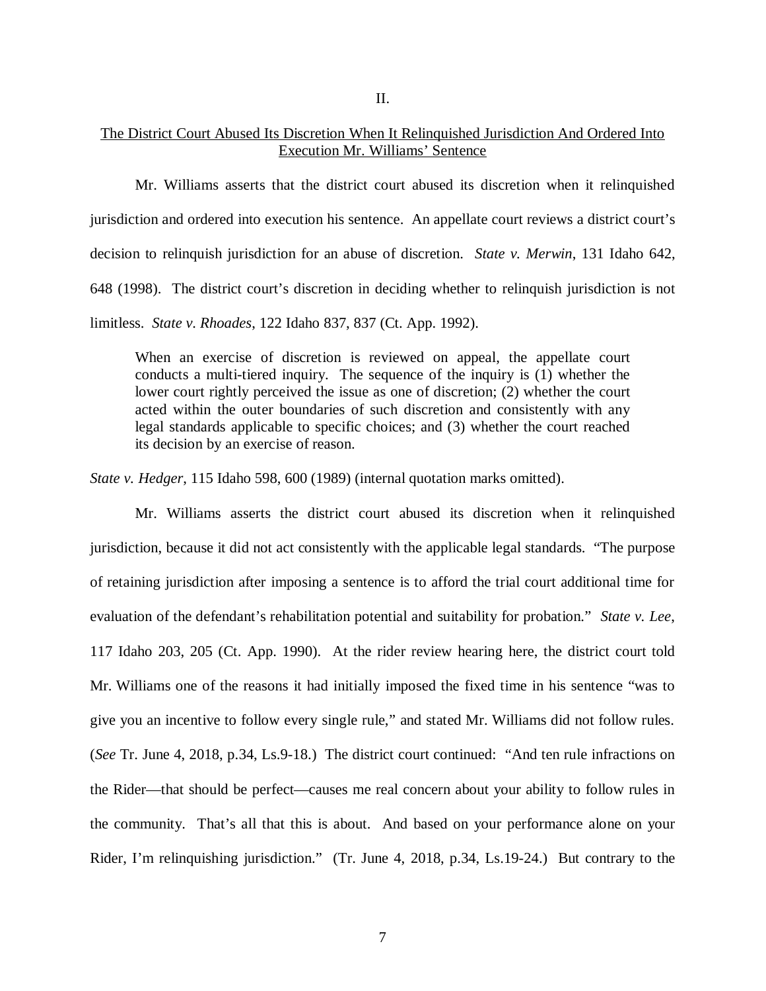II.

# The District Court Abused Its Discretion When It Relinquished Jurisdiction And Ordered Into Execution Mr. Williams' Sentence

Mr. Williams asserts that the district court abused its discretion when it relinquished jurisdiction and ordered into execution his sentence. An appellate court reviews a district court's decision to relinquish jurisdiction for an abuse of discretion. *State v. Merwin*, 131 Idaho 642, 648 (1998). The district court's discretion in deciding whether to relinquish jurisdiction is not limitless. *State v. Rhoades*, 122 Idaho 837, 837 (Ct. App. 1992).

When an exercise of discretion is reviewed on appeal, the appellate court conducts a multi-tiered inquiry. The sequence of the inquiry is (1) whether the lower court rightly perceived the issue as one of discretion; (2) whether the court acted within the outer boundaries of such discretion and consistently with any legal standards applicable to specific choices; and (3) whether the court reached its decision by an exercise of reason.

*State v. Hedger*, 115 Idaho 598, 600 (1989) (internal quotation marks omitted).

Mr. Williams asserts the district court abused its discretion when it relinquished jurisdiction, because it did not act consistently with the applicable legal standards. "The purpose of retaining jurisdiction after imposing a sentence is to afford the trial court additional time for evaluation of the defendant's rehabilitation potential and suitability for probation." *State v. Lee*, 117 Idaho 203, 205 (Ct. App. 1990). At the rider review hearing here, the district court told Mr. Williams one of the reasons it had initially imposed the fixed time in his sentence "was to give you an incentive to follow every single rule," and stated Mr. Williams did not follow rules. (*See* Tr. June 4, 2018, p.34, Ls.9-18.) The district court continued: "And ten rule infractions on the Rider—that should be perfect—causes me real concern about your ability to follow rules in the community. That's all that this is about. And based on your performance alone on your Rider, I'm relinquishing jurisdiction." (Tr. June 4, 2018, p.34, Ls.19-24.) But contrary to the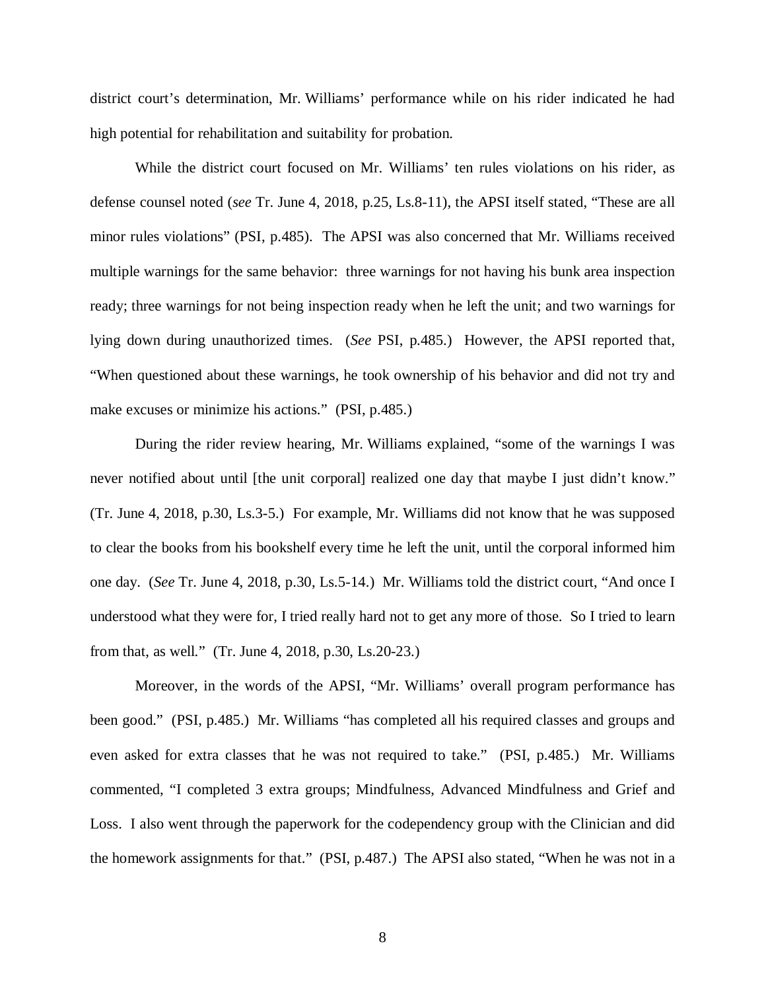district court's determination, Mr. Williams' performance while on his rider indicated he had high potential for rehabilitation and suitability for probation.

While the district court focused on Mr. Williams' ten rules violations on his rider, as defense counsel noted (*see* Tr. June 4, 2018, p.25, Ls.8-11), the APSI itself stated, "These are all minor rules violations" (PSI, p.485). The APSI was also concerned that Mr. Williams received multiple warnings for the same behavior: three warnings for not having his bunk area inspection ready; three warnings for not being inspection ready when he left the unit; and two warnings for lying down during unauthorized times. (*See* PSI, p.485.) However, the APSI reported that, "When questioned about these warnings, he took ownership of his behavior and did not try and make excuses or minimize his actions." (PSI, p.485.)

During the rider review hearing, Mr. Williams explained, "some of the warnings I was never notified about until [the unit corporal] realized one day that maybe I just didn't know." (Tr. June 4, 2018, p.30, Ls.3-5.) For example, Mr. Williams did not know that he was supposed to clear the books from his bookshelf every time he left the unit, until the corporal informed him one day. (*See* Tr. June 4, 2018, p.30, Ls.5-14.) Mr. Williams told the district court, "And once I understood what they were for, I tried really hard not to get any more of those. So I tried to learn from that, as well." (Tr. June 4, 2018, p.30, Ls.20-23.)

Moreover, in the words of the APSI, "Mr. Williams' overall program performance has been good." (PSI, p.485.) Mr. Williams "has completed all his required classes and groups and even asked for extra classes that he was not required to take." (PSI, p.485.) Mr. Williams commented, "I completed 3 extra groups; Mindfulness, Advanced Mindfulness and Grief and Loss. I also went through the paperwork for the codependency group with the Clinician and did the homework assignments for that." (PSI, p.487.) The APSI also stated, "When he was not in a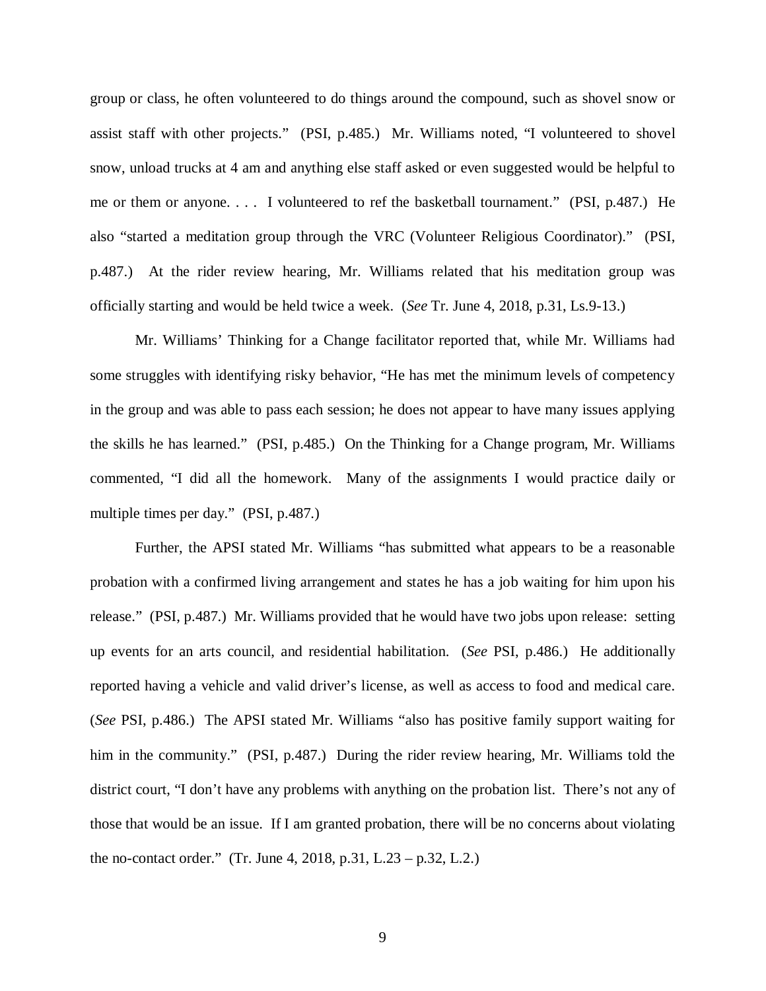group or class, he often volunteered to do things around the compound, such as shovel snow or assist staff with other projects." (PSI, p.485.) Mr. Williams noted, "I volunteered to shovel snow, unload trucks at 4 am and anything else staff asked or even suggested would be helpful to me or them or anyone. . . . I volunteered to ref the basketball tournament." (PSI, p.487.) He also "started a meditation group through the VRC (Volunteer Religious Coordinator)." (PSI, p.487.) At the rider review hearing, Mr. Williams related that his meditation group was officially starting and would be held twice a week. (*See* Tr. June 4, 2018, p.31, Ls.9-13.)

Mr. Williams' Thinking for a Change facilitator reported that, while Mr. Williams had some struggles with identifying risky behavior, "He has met the minimum levels of competency in the group and was able to pass each session; he does not appear to have many issues applying the skills he has learned." (PSI, p.485.) On the Thinking for a Change program, Mr. Williams commented, "I did all the homework. Many of the assignments I would practice daily or multiple times per day." (PSI, p.487.)

Further, the APSI stated Mr. Williams "has submitted what appears to be a reasonable probation with a confirmed living arrangement and states he has a job waiting for him upon his release." (PSI, p.487.) Mr. Williams provided that he would have two jobs upon release: setting up events for an arts council, and residential habilitation. (*See* PSI, p.486.) He additionally reported having a vehicle and valid driver's license, as well as access to food and medical care. (*See* PSI, p.486.) The APSI stated Mr. Williams "also has positive family support waiting for him in the community." (PSI, p.487.) During the rider review hearing, Mr. Williams told the district court, "I don't have any problems with anything on the probation list. There's not any of those that would be an issue. If I am granted probation, there will be no concerns about violating the no-contact order." (Tr. June 4, 2018, p.31, L.23 – p.32, L.2.)